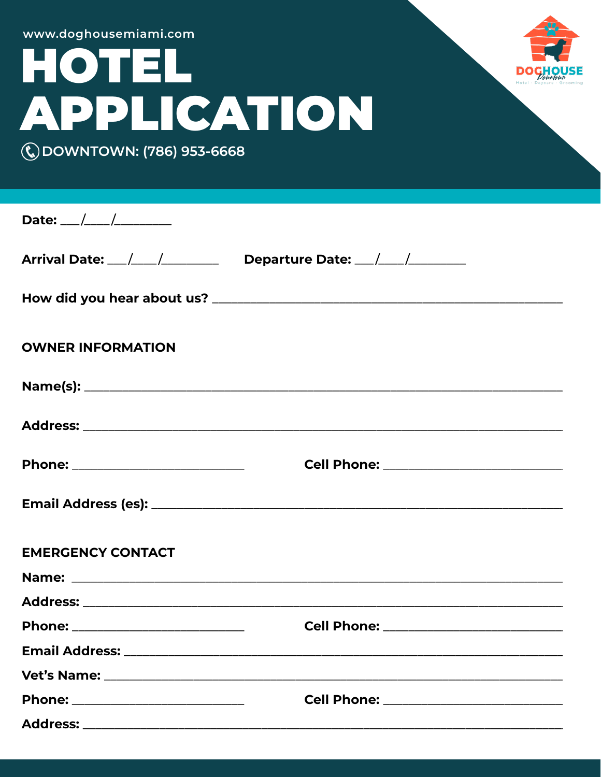| www.doghousemiami.com<br>HOTEL<br><b>APPLICATION</b><br>(C) DOWNTOWN: (786) 953-6668                            |                                           |  |
|-----------------------------------------------------------------------------------------------------------------|-------------------------------------------|--|
|                                                                                                                 |                                           |  |
| Arrival Date: __/___/___________ Departure Date: __/___/_________                                               |                                           |  |
|                                                                                                                 |                                           |  |
| <b>OWNER INFORMATION</b>                                                                                        |                                           |  |
|                                                                                                                 |                                           |  |
|                                                                                                                 |                                           |  |
| Phone: ____________________________                                                                             | Cell Phone: _____________________________ |  |
|                                                                                                                 |                                           |  |
| <b>EMERGENCY CONTACT</b>                                                                                        |                                           |  |
|                                                                                                                 |                                           |  |
|                                                                                                                 |                                           |  |
| Phone: ____________________________                                                                             | Cell Phone: _____________________________ |  |
|                                                                                                                 |                                           |  |
|                                                                                                                 |                                           |  |
| Phone: _____________________________                                                                            |                                           |  |
| Address: Annual Material Services and Address and Address and Address and Address and Address and Address and A |                                           |  |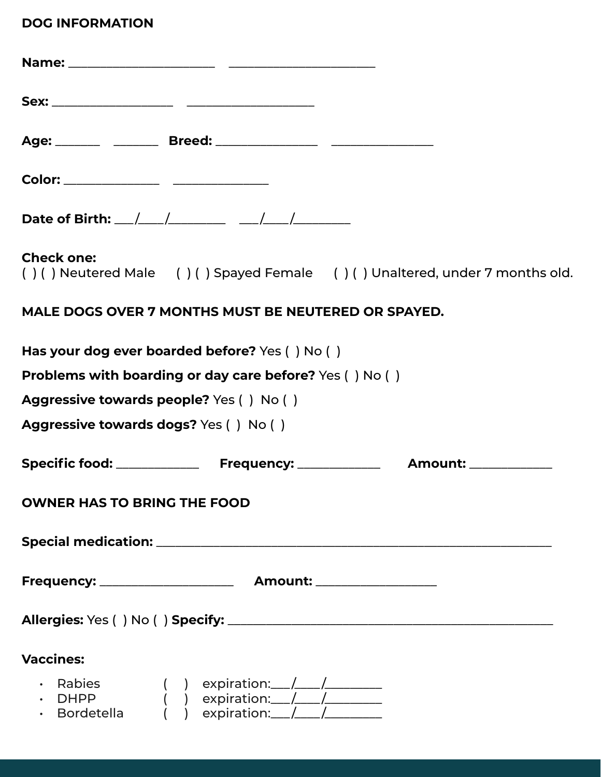## **DOG INFORMATION**

| Date of Birth: $\angle$ / _______________ ___/ ___/                       |                   |  |
|---------------------------------------------------------------------------|-------------------|--|
| ()() Neutered Male ()() Spayed Female ()() Unaltered, under 7 months old. | <b>Check one:</b> |  |
| MALE DOGS OVER 7 MONTHS MUST BE NEUTERED OR SPAYED.                       |                   |  |
| Has your dog ever boarded before? Yes () No ()                            |                   |  |
| <b>Problems with boarding or day care before?</b> Yes () No ()            |                   |  |
| Aggressive towards people? Yes () No ()                                   |                   |  |
| <b>Aggressive towards dogs?</b> Yes () No ()                              |                   |  |
|                                                                           |                   |  |
| <b>OWNER HAS TO BRING THE FOOD</b>                                        |                   |  |
|                                                                           |                   |  |
|                                                                           |                   |  |
|                                                                           |                   |  |
|                                                                           | <b>Vaccines:</b>  |  |
| Rabies<br>DHPP<br>Bordetella                                              |                   |  |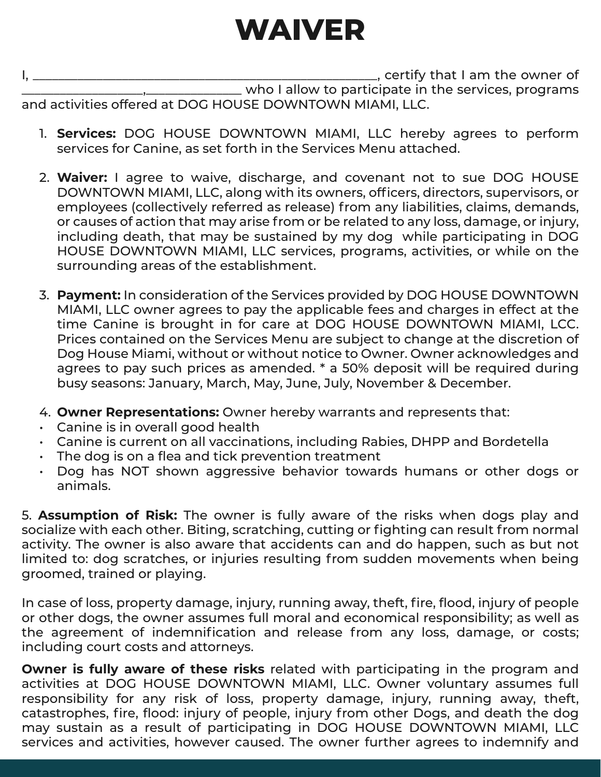## **WAIVER**

I, \_\_\_\_\_\_\_\_\_\_\_\_\_\_\_\_\_\_\_\_\_\_\_\_\_\_\_\_\_\_\_\_\_\_\_\_\_\_\_\_\_\_\_\_\_\_\_\_\_\_\_\_\_\_, certify that I am the owner of \_\_\_\_\_\_\_\_\_\_\_\_\_\_\_\_\_\_\_,\_\_\_\_\_\_\_\_\_\_\_\_\_\_\_ who I allow to participate in the services, programs and activities offered at DOG HOUSE DOWNTOWN MIAMI, LLC.

- 1. **Services:** DOG HOUSE DOWNTOWN MIAMI, LLC hereby agrees to perform services for Canine, as set forth in the Services Menu attached.
- 2. **Waiver:** I agree to waive, discharge, and covenant not to sue DOG HOUSE DOWNTOWN MIAMI, LLC, along with its owners, officers, directors, supervisors, or employees (collectively referred as release) from any liabilities, claims, demands, or causes of action that may arise from or be related to any loss, damage, or injury, including death, that may be sustained by my dog while participating in DOG HOUSE DOWNTOWN MIAMI, LLC services, programs, activities, or while on the surrounding areas of the establishment.
- 3. **Payment:** In consideration of the Services provided by DOG HOUSE DOWNTOWN MIAMI, LLC owner agrees to pay the applicable fees and charges in effect at the time Canine is brought in for care at DOG HOUSE DOWNTOWN MIAMI, LCC. Prices contained on the Services Menu are subject to change at the discretion of Dog House Miami, without or without notice to Owner. Owner acknowledges and agrees to pay such prices as amended. \* a 50% deposit will be required during busy seasons: January, March, May, June, July, November & December.
- 4. **Owner Representations:** Owner hereby warrants and represents that:
- Canine is in overall good health

hold

- Canine is current on all vaccinations, including Rabies, DHPP and Bordetella
- The dog is on a flea and tick prevention treatment
- Dog has NOT shown aggressive behavior towards humans or other dogs or animals.

5. **Assumption of Risk:** The owner is fully aware of the risks when dogs play and socialize with each other. Biting, scratching, cutting or fighting can result from normal activity. The owner is also aware that accidents can and do happen, such as but not limited to: dog scratches, or injuries resulting from sudden movements when being groomed, trained or playing.

In case of loss, property damage, injury, running away, theft, fire, flood, injury of people or other dogs, the owner assumes full moral and economical responsibility; as well as the agreement of indemnification and release from any loss, damage, or costs; including court costs and attorneys.

**Owner is fully aware of these risks** related with participating in the program and activities at DOG HOUSE DOWNTOWN MIAMI, LLC. Owner voluntary assumes full responsibility for any risk of loss, property damage, injury, running away, theft, catastrophes, fire, flood: injury of people, injury from other Dogs, and death the dog may sustain as a result of participating in DOG HOUSE DOWNTOWN MIAMI, LLC services and activities, however caused. The owner further agrees to indemnify and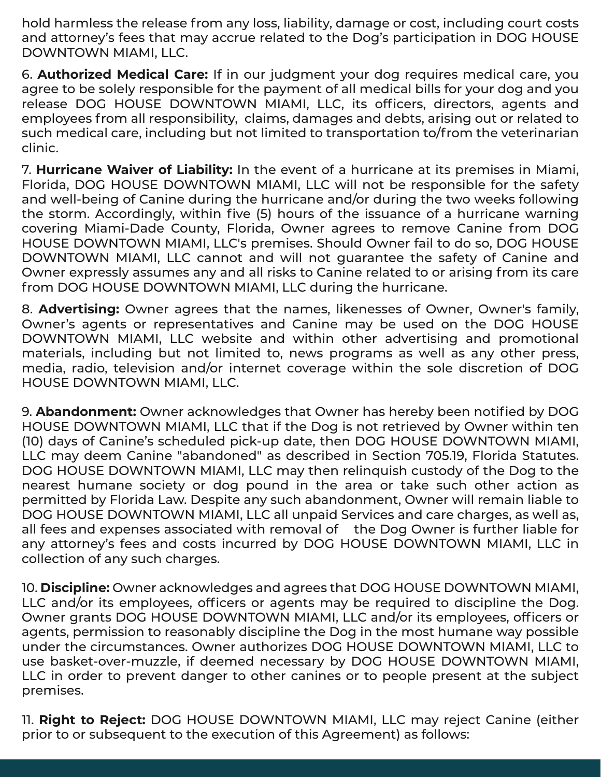hold harmless the release from any loss, liability, damage or cost, including court costs and attorney's fees that may accrue related to the Dog's participation in DOG HOUSE DOWNTOWN MIAMI, LLC.

6. **Authorized Medical Care:** If in our judgment your dog requires medical care, you agree to be solely responsible for the payment of all medical bills for your dog and you release DOG HOUSE DOWNTOWN MIAMI, LLC, its officers, directors, agents and employees from all responsibility, claims, damages and debts, arising out or related to such medical care, including but not limited to transportation to/from the veterinarian clinic.

7. **Hurricane Waiver of Liability:** In the event of a hurricane at its premises in Miami, Florida, DOG HOUSE DOWNTOWN MIAMI, LLC will not be responsible for the safety and well-being of Canine during the hurricane and/or during the two weeks following the storm. Accordingly, within five (5) hours of the issuance of a hurricane warning covering Miami-Dade County, Florida, Owner agrees to remove Canine from DOG HOUSE DOWNTOWN MIAMI, LLC's premises. Should Owner fail to do so, DOG HOUSE DOWNTOWN MIAMI, LLC cannot and will not guarantee the safety of Canine and Owner expressly assumes any and all risks to Canine related to or arising from its care from DOG HOUSE DOWNTOWN MIAMI, LLC during the hurricane.

8. **Advertising:** Owner agrees that the names, likenesses of Owner, Owner's family, Owner's agents or representatives and Canine may be used on the DOG HOUSE DOWNTOWN MIAMI, LLC website and within other advertising and promotional materials, including but not limited to, news programs as well as any other press, media, radio, television and/or internet coverage within the sole discretion of DOG HOUSE DOWNTOWN MIAMI, LLC.

9. **Abandonment:** Owner acknowledges that Owner has hereby been notified by DOG HOUSE DOWNTOWN MIAMI, LLC that if the Dog is not retrieved by Owner within ten (10) days of Canine's scheduled pick-up date, then DOG HOUSE DOWNTOWN MIAMI, LLC may deem Canine "abandoned" as described in Section 705.19, Florida Statutes. DOG HOUSE DOWNTOWN MIAMI, LLC may then relinquish custody of the Dog to the nearest humane society or dog pound in the area or take such other action as permitted by Florida Law. Despite any such abandonment, Owner will remain liable to DOG HOUSE DOWNTOWN MIAMI, LLC all unpaid Services and care charges, as well as, all fees and expenses associated with removal of the Dog Owner is further liable for any attorney's fees and costs incurred by DOG HOUSE DOWNTOWN MIAMI, LLC in collection of any such charges.

10. **Discipline:** Owner acknowledges and agrees that DOG HOUSE DOWNTOWN MIAMI, LLC and/or its employees, officers or agents may be required to discipline the Dog. Owner grants DOG HOUSE DOWNTOWN MIAMI, LLC and/or its employees, officers or agents, permission to reasonably discipline the Dog in the most humane way possible under the circumstances. Owner authorizes DOG HOUSE DOWNTOWN MIAMI, LLC to use basket-over-muzzle, if deemed necessary by DOG HOUSE DOWNTOWN MIAMI, LLC in order to prevent danger to other canines or to people present at the subject premises.

11. **Right to Reject:** DOG HOUSE DOWNTOWN MIAMI, LLC may reject Canine (either prior to or subsequent to the execution of this Agreement) as follows: